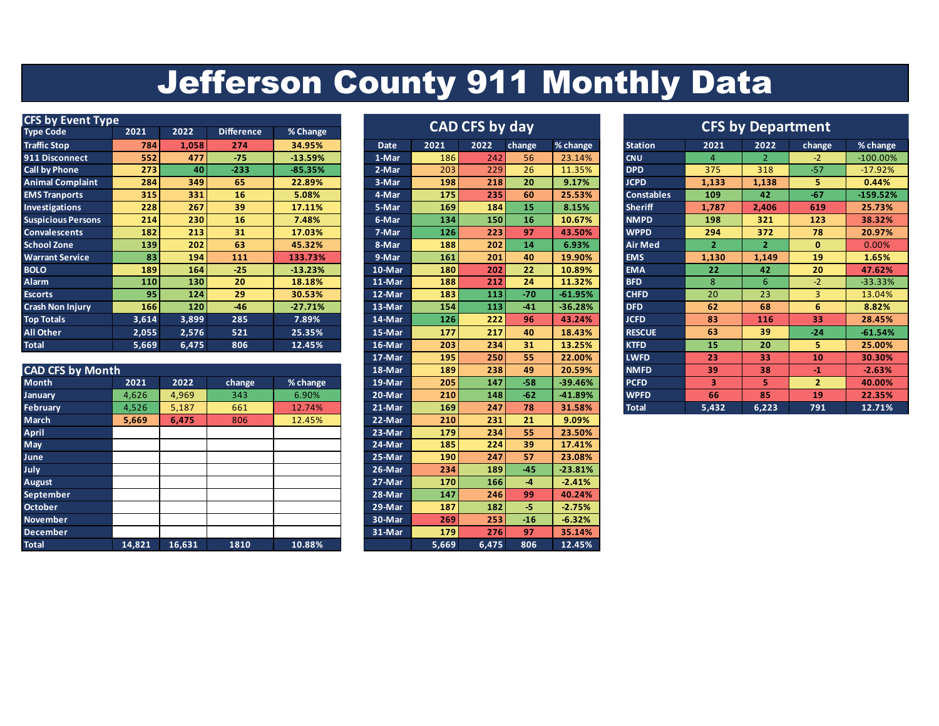## Jefferson County 911 Monthly Data

| <b>CFS by Event Type</b>  |                 |                 |                   |           |        |                       |      |        | <b>CFS by Department</b> |                   |       |       |        |            |  |
|---------------------------|-----------------|-----------------|-------------------|-----------|--------|-----------------------|------|--------|--------------------------|-------------------|-------|-------|--------|------------|--|
| Type Code                 | 2021            | 2022            | <b>Difference</b> | % Change  |        | <b>CAD CFS by day</b> |      |        |                          |                   |       |       |        |            |  |
| <b>Traffic Stop</b>       | 784             | 1,058           | 274               | 34.95%    | Date   | 2021                  | 2022 | change | % change                 | <b>Station</b>    | 2021  | 2022  | change | % change   |  |
| 911 Disconnect            | 552             | 477             | $-75$             | $-13.59%$ | 1-Mar  | 186                   | 242  | 56     | 23.14%                   | <b>CNU</b>        | Δ     |       | $-2$   | $-100.00%$ |  |
| <b>Call by Phone</b>      | 273             | 40 <sup>1</sup> | $-233$            | $-85.35%$ | 2-Mar  | 203                   | 229  | 26     | 11.35%                   | <b>DPD</b>        | 375   | 318   | $-57$  | $-17.92%$  |  |
| <b>Animal Complaint</b>   | 284             | 349             | 65                | 22.89%    | 3-Mar  | 198                   | 218  | 20     | 9.17%                    | <b>JCPD</b>       | 1,133 | 1,138 | 5.     | 0.44%      |  |
| <b>EMS Tranports</b>      | 315             | 331             | 16                | 5.08%     | 4-Mar  | 175                   | 235  | 60     | 25.53%                   | <b>Constables</b> | 109   | 42    | $-67$  | $-159.52%$ |  |
| <b>Investigations</b>     | 228             | 267             | 39                | 17.11%    | 5-Mar  | 169                   | 184  | 15     | 8.15%                    | <b>Sheriff</b>    | 1,787 | 2,406 | 619    | 25.73%     |  |
| <b>Suspicious Persons</b> | 214             | 230             | 16                | 7.48%     | 6-Mar  | 134                   | 150  | 16     | 10.67%                   | <b>NMPD</b>       | 198   | 321   | 123    | 38.32%     |  |
| <b>Convalescents</b>      | 182             | 213             | 31                | 17.03%    | 7-Mar  | 126                   | 223  | 97     | 43.50%                   | <b>WPPD</b>       | 294   | 372   | 78     | 20.97%     |  |
| <b>School Zone</b>        | 139             | 202             | 63                | 45.32%    | 8-Mar  | 188                   | 202  | 14     | 6.93%                    | Air Med           |       | 2     | 0      | 0.00%      |  |
| <b>Warrant Service</b>    | 83              | 194             | 111               | 133.73%   | 9-Mar  | 161                   | 201  | 40     | 19.90%                   | <b>EMS</b>        | 1,130 | 1,149 | 19     | 1.65%      |  |
| <b>BOLO</b>               | 189             | 164             | $-25$             | $-13.23%$ | 10-Mar | 180                   | 202  | 22     | 10.89%                   | <b>EMA</b>        | 22    | 42    | 20     | 47.62%     |  |
| <b>Alarm</b>              | 110             | 130             | 20                | 18.18%    | 11-Mar | 188                   | 212  | 24     | 11.32%                   | <b>BFD</b>        | 8     | 6     | $-2$   | $-33.33%$  |  |
| <b>Escorts</b>            | 95 <sub>1</sub> | 124             | 29                | 30.53%    | 12-Mar | 183                   | 113  | $-70$  | $-61.95%$                | <b>CHFD</b>       | 20    | 23    | 3      | 13.04%     |  |
| <b>Crash Non Injury</b>   | 166             | 120             | $-46$             | $-27.71%$ | 13-Mar | 154                   | 113  | $-41$  | $-36.28%$                | <b>DFD</b>        | 62    | 68    | 6      | 8.82%      |  |
| <b>Top Totals</b>         | 3,614           | 3,899           | 285               | 7.89%     | 14-Mar | 126                   | 222  | 96     | 43.24%                   | <b>JCFD</b>       | 83    | 116   | 33     | 28.45%     |  |
| All Other                 | 2,055           | 2,576           | 521               | 25.35%    | 15-Mar | 177                   | 217  | 40     | 18.43%                   | <b>RESCUE</b>     | 63    | 39    | $-24$  | $-61.54%$  |  |
| <b>Total</b>              | 5,669           | 6,475           | 806               | 12.45%    | 16-Mar | 203                   | 234  | 31     | 13.25%                   | <b>KTFD</b>       | 15    | 20    |        | 25.00%     |  |

|                         |        |        |        |          |          |            |            |       | ------    |              |       | --    |                | ______   |
|-------------------------|--------|--------|--------|----------|----------|------------|------------|-------|-----------|--------------|-------|-------|----------------|----------|
| <b>CAD CFS by Month</b> |        |        |        |          | 18-Mar   | 189        | 238        | 49    | 20.59%    | <b>NMFD</b>  | 39    | 38    | -1.            | $-2.63%$ |
| Month                   | 2021   | 2022   | change | % change | 19-Mar   | 205        | 147        | $-58$ | $-39.46%$ | <b>PCFD</b>  | 3     |       | $\overline{2}$ | 40.00%   |
| January                 | 4,626  | 4,969  | 343    | 6.90%    | 20-Mar   | 210        | 148        | $-62$ | -41.89%   | <b>WPFD</b>  | 66    | 85    | 19             | 22.35%   |
| <b>February</b>         | 4,526  | 5,187  | 661    | 12.74%   | $21-Mar$ | 169        | 247        | 78    | 31.58%    | <b>Total</b> | 5,432 | 6,223 | 791            | 12.71%   |
| March                   | 5,669  | 6,475  | 806    | 12.45%   | 22-Mar   | 210        | 231        | 21    | 9.09%     |              |       |       |                |          |
| <b>April</b>            |        |        |        |          | $23-Mar$ | 179        | 234        | 55    | 23.50%    |              |       |       |                |          |
| May                     |        |        |        |          | 24-Mar   | 185        | 224        | 39    | 17.41%    |              |       |       |                |          |
| June                    |        |        |        |          | 25-Mar   | 190        | 247        | 57    | 23.08%    |              |       |       |                |          |
| July                    |        |        |        |          | 26-Mar   | 234        | 189        | $-45$ | $-23.81%$ |              |       |       |                |          |
| August                  |        |        |        |          | 27-Mar   | <b>170</b> | <b>166</b> | $-4$  | $-2.41%$  |              |       |       |                |          |
| September               |        |        |        |          | 28-Mar   | 147        | 246        | 99    | 40.24%    |              |       |       |                |          |
| <b>October</b>          |        |        |        |          | 29-Mar   | 187        | 182        | -5.   | $-2.75%$  |              |       |       |                |          |
| <b>November</b>         |        |        |        |          | 30-Mar   | 269        | 253        | $-16$ | $-6.32%$  |              |       |       |                |          |
| <b>December</b>         |        |        |        |          | 31-Mar   | 179        | 276        | 97    | 35.14%    |              |       |       |                |          |
| <b>Total</b>            | 14,821 | 16,631 | 1810   | 10.88%   |          | 5,669      | 6,475      | 806   | 12.45%    |              |       |       |                |          |

| CAD CFS by day |       |       |                          |           |  |  |  |  |  |  |  |
|----------------|-------|-------|--------------------------|-----------|--|--|--|--|--|--|--|
| <b>Date</b>    | 2021  | 2022  | change                   | % change  |  |  |  |  |  |  |  |
| 1-Mar          | 186   | 242   | 56                       | 23.14%    |  |  |  |  |  |  |  |
| 2-Mar          | 203   | 229   | 26                       | 11.35%    |  |  |  |  |  |  |  |
| 3-Mar          | 198   | 218   | 20                       | 9.17%     |  |  |  |  |  |  |  |
| 4-Mar          | 175   | 235   | 60                       | 25.53%    |  |  |  |  |  |  |  |
| 5-Mar          | 169   | 184   | 15                       | 8.15%     |  |  |  |  |  |  |  |
| 6-Mar          | 134   | 150   | 16                       | 10.67%    |  |  |  |  |  |  |  |
| 7-Mar          | 126   | 223   | 97                       | 43.50%    |  |  |  |  |  |  |  |
| 8-Mar          | 188   | 202   | 14                       | 6.93%     |  |  |  |  |  |  |  |
| 9-Mar          | 161   | 201   | 40                       | 19.90%    |  |  |  |  |  |  |  |
| 10-Mar         | 180   | 202   | 22                       | 10.89%    |  |  |  |  |  |  |  |
| 11-Mar         | 188   | 212   | 24                       | 11.32%    |  |  |  |  |  |  |  |
| 12-Mar         | 183   | 113   | $-70$                    | $-61.95%$ |  |  |  |  |  |  |  |
| 13-Mar         | 154   | 113   | $-41$                    | $-36.28%$ |  |  |  |  |  |  |  |
| $14-Mar$       | 126   | 222   | 96                       | 43.24%    |  |  |  |  |  |  |  |
| 15-Mar         | 177   | 217   | 40                       | 18.43%    |  |  |  |  |  |  |  |
| 16-Mar         | 203   | 234   | 31                       | 13.25%    |  |  |  |  |  |  |  |
| 17-Mar         | 195   | 250   | 55                       | 22.00%    |  |  |  |  |  |  |  |
| 18-Mar         | 189   | 238   | 49                       | 20.59%    |  |  |  |  |  |  |  |
| 19-Mar         | 205   | 147   | $-58$                    | $-39.46%$ |  |  |  |  |  |  |  |
| $20$ -Mar      | 210   | 148   | $-62$                    | -41.89%   |  |  |  |  |  |  |  |
| 21-Mar         | 169   | 247   | 78                       | 31.58%    |  |  |  |  |  |  |  |
| 22-Mar         | 210   | 231   | 21                       | 9.09%     |  |  |  |  |  |  |  |
| $23-Mar$       | 179   | 234   | 55                       | 23.50%    |  |  |  |  |  |  |  |
| $24-Mar$       | 185   | 224   | 39                       | 17.41%    |  |  |  |  |  |  |  |
| $25-Mar$       | 190   | 247   | 57                       | 23.08%    |  |  |  |  |  |  |  |
| 26-Mar         | 234   | 189   | $-45$                    | $-23.81%$ |  |  |  |  |  |  |  |
| 27-Mar         | 170   | 166   | $\overline{\mathcal{A}}$ | $-2.41%$  |  |  |  |  |  |  |  |
| $28 - Mar$     | 147   | 246   | 99                       | 40.24%    |  |  |  |  |  |  |  |
| $29-Mar$       | 187   | 182   | -5                       | $-2.75%$  |  |  |  |  |  |  |  |
| 30-Mar         | 269   | 253   | $-16$                    | $-6.32%$  |  |  |  |  |  |  |  |
| $31-Mar$       | 179   | 276   | 97                       | 35.14%    |  |  |  |  |  |  |  |
|                | 5,669 | 6,475 | 806                      | 12.45%    |  |  |  |  |  |  |  |

|             |      | <b>CAD CFS by day</b> |        |           |                   |                |                | <b>CFS by Department</b> |
|-------------|------|-----------------------|--------|-----------|-------------------|----------------|----------------|--------------------------|
| <b>Date</b> | 2021 | 2022                  | change | % change  | <b>Station</b>    | 2021           | 2022           | change                   |
| 1-Mar       | 186  | 242                   | 56     | 23.14%    | <b>CNU</b>        | 4              | 2              | $-2$                     |
| 2-Mar       | 203  | 229                   | 26     | 11.35%    | <b>DPD</b>        | 375            | 318            | $-57$                    |
| 3-Mar       | 198  | 218                   | 20     | 9.17%     | <b>JCPD</b>       | 1,133          | 1,138          | 5.                       |
| 4-Mar       | 175  | 235                   | 60     | 25.53%    | <b>Constables</b> | 109            | 42             | $-67$                    |
| $5$ -Mar    | 169  | 184                   | 15     | 8.15%     | <b>Sheriff</b>    | 1,787          | 2,406          | 619                      |
| $6$ -Mar    | 134  | 150                   | 16     | 10.67%    | <b>NMPD</b>       | 198            | 321            | 123                      |
| 7-Mar       | 126  | 223                   | 97     | 43.50%    | <b>WPPD</b>       | 294            | 372            | 78                       |
| 8-Mar       | 188  | 202                   | 14     | 6.93%     | <b>Air Med</b>    | $\overline{2}$ | $\overline{2}$ | $\mathbf{0}$             |
| 9-Mar       | 161  | 201                   | 40     | 19.90%    | <b>EMS</b>        | 1,130          | 1,149          | 19                       |
| 10-Mar      | 180  | 202                   | 22     | 10.89%    | <b>EMA</b>        | 22             | 42             | 20                       |
| 11-Mar      | 188  | 212                   | 24     | 11.32%    | <b>BFD</b>        | 8              | 6              | $-2$                     |
| 12-Mar      | 183  | 113                   | $-70$  | $-61.95%$ | <b>CHFD</b>       | 20             | 23             | 3                        |
| $13-Mar$    | 154  | 113                   | $-41$  | $-36.28%$ | <b>DFD</b>        | 62             | 68             | 6                        |
| $14 -$ Mar  | 126  | 222                   | 96     | 43.24%    | <b>JCFD</b>       | 83             | 116            | 33                       |
| 15-Mar      | 177  | 217                   | 40     | 18.43%    | <b>RESCUE</b>     | 63             | 39             | $-24$                    |
| 16-Mar      | 203  | 234                   | 31     | 13.25%    | <b>KTFD</b>       | 15             | 20             | 5                        |
| 17-Mar      | 195  | 250                   | 55     | 22.00%    | <b>LWFD</b>       | 23             | 33             | 10                       |
| 18-Mar      | 189  | 238                   | 49     | 20.59%    | <b>NMFD</b>       | 39             | 38             | $-1$                     |
| 19-Mar      | 205  | 147                   | $-58$  | $-39.46%$ | <b>PCFD</b>       | 3              | 5              | $\overline{2}$           |
| $20$ -Mar   | 210  | 148                   | $-62$  | -41.89%   | <b>WPFD</b>       | 66             | 85             | 19                       |
| $21-Mar$    | 169  | 247                   | 78     | 31.58%    | <b>Total</b>      | 5,432          | 6,223          | 791                      |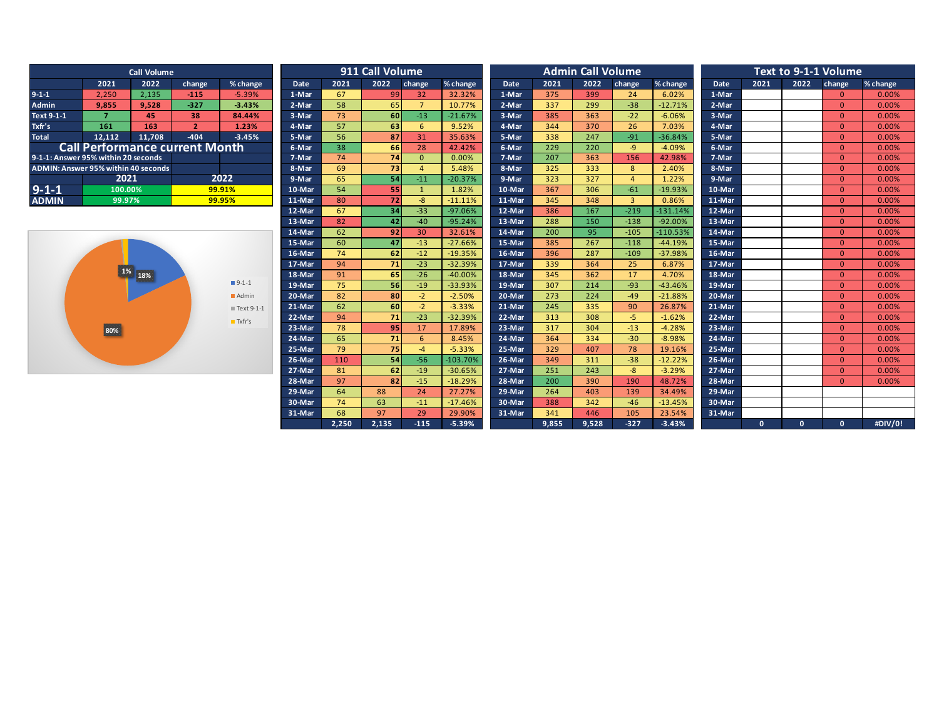| <b>Call Volume</b>                  |                                       |        |                |          |  |  |  |  |  |  |
|-------------------------------------|---------------------------------------|--------|----------------|----------|--|--|--|--|--|--|
|                                     | 2021                                  | 2022   | change         | % change |  |  |  |  |  |  |
| $9 - 1 - 1$                         | 2,250                                 | 2,135  | $-115$         | $-5.39%$ |  |  |  |  |  |  |
| <b>Admin</b>                        | 9,855                                 | 9.528  | $-327$         | $-3.43%$ |  |  |  |  |  |  |
| Text 9-1-1                          |                                       | 45     | 38             | 84.44%   |  |  |  |  |  |  |
| Txfr's                              | 161                                   | 163    | $\overline{2}$ | 1.23%    |  |  |  |  |  |  |
| <b>Total</b>                        | 12,112                                | 11,708 | $-404$         | $-3.45%$ |  |  |  |  |  |  |
|                                     | <b>Call Performance current Month</b> |        |                |          |  |  |  |  |  |  |
| 9-1-1: Answer 95% within 20 seconds |                                       |        |                |          |  |  |  |  |  |  |
| ADMIN: Answer 95% within 40 seconds |                                       |        |                |          |  |  |  |  |  |  |
|                                     | 2021                                  |        | 2022           |          |  |  |  |  |  |  |
| $9 - 1 - 1$                         | 100.00%                               |        | 99.91%         |          |  |  |  |  |  |  |
| <b>ADMIN</b>                        | 99.97%                                |        | 99.95%         |          |  |  |  |  |  |  |



|                                     |                                       | <b>Call Volume</b> |                |                       |             |       | 911 Call Volume |                |            |        |       | <b>Admin Call Volume</b> |                |            | Text to 9-1-1 Volume |              |              |                |          |
|-------------------------------------|---------------------------------------|--------------------|----------------|-----------------------|-------------|-------|-----------------|----------------|------------|--------|-------|--------------------------|----------------|------------|----------------------|--------------|--------------|----------------|----------|
|                                     | 2021                                  | 2022               | change         | % change              | <b>Date</b> | 2021  | 2022            | change         | % change   | Date   | 2021  | 2022                     | change         | % change   | <b>Date</b>          | 2021         | 2022         | change         | % change |
| $9-1-1$                             | 2.250                                 | 2.135              | $-115$         | $-5.39%$              | 1-Mar       | 67    | 99              | 32             | 32.32%     | 1-Mar  | 375   | 399                      | 24             | 6.02%      | 1-Mar                |              |              | $\Omega$       | 0.00%    |
| <b>Admin</b>                        | 9.855                                 | 9.528              | $-327$         | $-3.43%$              | 2-Mar       | 58    | 65              | $\overline{7}$ | 10.77%     | 2-Mar  | 337   | 299                      | $-38$          | $-12.71%$  | 2-Mar                |              |              | $\Omega$       | 0.00%    |
| Text 9-1-1                          | $\overline{7}$                        | 45                 | 38             | 84.44%                | 3-Mar       | 73    | 60              | $-13$          | $-21.67%$  | 3-Mar  | 385   | 363                      | $-22$          | $-6.06%$   | 3-Mar                |              |              | $\overline{0}$ | 0.00%    |
| Txfr's                              | 161                                   | 163                | $\overline{2}$ | 1.23%                 | 4-Mar       | 57    | 63              | 6              | 9.52%      | 4-Mar  | 344   | 370                      | 26             | 7.03%      | 4-Mar                |              |              | $\overline{0}$ | 0.00%    |
| <b>Total</b>                        | 12,112                                | 11,708             | $-404$         | $-3.45%$              | 5-Mar       | 56    | 87              | 31             | 35.63%     | 5-Mar  | 338   | 247                      | $-91$          | $-36.84%$  | 5-Mar                |              |              | $\overline{0}$ | 0.00%    |
|                                     | <b>Call Performance current Month</b> |                    |                |                       | 6-Mar       | 38    | 66              | 28             | 42.42%     | 6-Mar  | 229   | 220                      | $-9$           | $-4.09%$   | 6-Mar                |              |              | $\overline{0}$ | 0.00%    |
| 9-1-1: Answer 95% within 20 seconds |                                       |                    |                |                       | 7-Mar       | 74    | 74              | $\Omega$       | 0.00%      | 7-Mar  | 207   | 363                      | 156            | 42.98%     | 7-Mar                |              |              | $\overline{0}$ | 0.00%    |
| ADMIN: Answer 95% within 40 seconds |                                       |                    |                |                       | 8-Mar       | 69    | 73              | $\Delta$       | 5.48%      | 8-Mar  | 325   | 333                      | 8              | 2.40%      | 8-Mar                |              |              | $\Omega$       | 0.00%    |
|                                     | 2021                                  |                    |                | 2022                  | 9-Mar       | 65    | 54              | $-11$          | $-20.37%$  | 9-Mar  | 323   | 327                      | $\overline{a}$ | 1.22%      | 9-Mar                |              |              | $\overline{0}$ | 0.00%    |
| $9 - 1 - 1$                         | 100.00%                               |                    |                | 99.91%                | 10-Mar      | 54    | 55              | $\overline{1}$ | 1.82%      | 10-Mar | 367   | 306                      | $-61$          | $-19.93%$  | 10-Mar               |              |              | $\Omega$       | 0.00%    |
| <b>ADMIN</b>                        | 99.97%                                |                    |                | 99.95%                | 11-Mar      | 80    | 72              | $-8$           | $-11.11%$  | 11-Mar | 345   | 348                      | $\overline{3}$ | 0.86%      | 11-Mar               |              |              | $\Omega$       | 0.00%    |
|                                     |                                       |                    |                |                       | 12-Mar      | 67    | 34              | $-33$          | $-97.06%$  | 12-Mar | 386   | 167                      | $-219$         | $-131.14%$ | 12-Mar               |              |              | $\overline{0}$ | 0.00%    |
|                                     |                                       |                    |                |                       | 13-Mar      | 82    | 42              | $-40$          | $-95.24%$  | 13-Mar | 288   | 150                      | $-138$         | $-92.00%$  | 13-Mar               |              |              | $\overline{0}$ | 0.00%    |
|                                     |                                       |                    |                |                       | 14-Mar      | 62    | 92              | 30             | 32.61%     | 14-Mar | 200   | 95                       | $-105$         | $-110.53%$ | 14-Mar               |              |              | $\overline{0}$ | 0.00%    |
|                                     |                                       |                    |                |                       | 15-Mar      | 60    | 47              | $-13$          | $-27.66%$  | 15-Mar | 385   | 267                      | $-118$         | $-44.19%$  | 15-Mar               |              |              | $\overline{0}$ | 0.00%    |
|                                     |                                       |                    |                |                       | 16-Mar      | 74    | 62              | $-12$          | $-19.35%$  | 16-Mar | 396   | 287                      | $-109$         | $-37.98%$  | 16-Mar               |              |              | $\Omega$       | 0.00%    |
|                                     |                                       |                    |                |                       | 17-Mar      | 94    | 71              | $-23$          | $-32.39%$  | 17-Mar | 339   | 364                      | 25             | 6.87%      | 17-Mar               |              |              | $\Omega$       | 0.00%    |
|                                     | $\sqrt{1\%}$                          | 18%                |                |                       | 18-Mar      | 91    | 65              | $-26$          | $-40.00%$  | 18-Mar | 345   | 362                      | 17             | 4.70%      | 18-Mar               |              |              | $\overline{0}$ | 0.00%    |
|                                     |                                       |                    |                | $9-1-1$               | 19-Mar      | 75    | 56              | $-19$          | $-33.93%$  | 19-Mar | 307   | 214                      | $-93$          | $-43.46%$  | 19-Mar               |              |              | $\Omega$       | 0.00%    |
|                                     |                                       |                    |                | Admin                 | 20-Mar      | 82    | 80              | $-2$           | $-2.50%$   | 20-Mar | 273   | 224                      | $-49$          | $-21.88%$  | 20-Mar               |              |              | $\overline{0}$ | 0.00%    |
|                                     |                                       |                    |                | ■Text 9-1-1           | 21-Mar      | 62    | 60              | $-2$           | $-3.33%$   | 21-Mar | 245   | 335                      | 90             | 26.87%     | 21-Mar               |              |              | $\overline{0}$ | 0.00%    |
|                                     |                                       |                    |                | $\blacksquare$ Txfr's | 22-Mar      | 94    | 71              | $-23$          | $-32.39%$  | 22-Mar | 313   | 308                      | $-5$           | $-1.62%$   | 22-Mar               |              |              | $\overline{0}$ | 0.00%    |
|                                     | 80%                                   |                    |                |                       | 23-Mar      | 78    | 95              | 17             | 17.89%     | 23-Mar | 317   | 304                      | $-13$          | $-4.28%$   | 23-Mar               |              |              | $\Omega$       | 0.00%    |
|                                     |                                       |                    |                |                       | 24-Mar      | 65    | 71              | 6              | 8.45%      | 24-Mar | 364   | 334                      | $-30$          | $-8.98%$   | 24-Mar               |              |              | $\overline{0}$ | 0.00%    |
|                                     |                                       |                    |                |                       | 25-Mar      | 79    | 75              | $-4$           | $-5.33%$   | 25-Mar | 329   | 407                      | 78             | 19.16%     | 25-Mar               |              |              | $\overline{0}$ | 0.00%    |
|                                     |                                       |                    |                |                       | 26-Mar      | 110   | 54              | $-56$          | $-103.70%$ | 26-Mar | 349   | 311                      | $-38$          | $-12.22%$  | 26-Mar               |              |              | $\Omega$       | 0.00%    |
|                                     |                                       |                    |                |                       | 27-Mar      | 81    | 62              | $-19$          | $-30.65%$  | 27-Mar | 251   | 243                      | $-8$           | $-3.29%$   | 27-Mar               |              |              | $\overline{0}$ | 0.00%    |
|                                     |                                       |                    |                |                       | 28-Mar      | 97    | 82              | $-15$          | $-18.29%$  | 28-Mar | 200   | 390                      | 190            | 48.72%     | 28-Mar               |              |              | $\overline{0}$ | 0.00%    |
|                                     |                                       |                    |                |                       | 29-Mar      | 64    | 88              | 24             | 27.27%     | 29-Mar | 264   | 403                      | 139            | 34.49%     | 29-Mar               |              |              |                |          |
|                                     |                                       |                    |                |                       | 30-Mar      | 74    | 63              | $-11$          | $-17.46%$  | 30-Mar | 388   | 342                      | $-46$          | $-13.45%$  | 30-Mar               |              |              |                |          |
|                                     |                                       |                    |                |                       | 31-Mar      | 68    | 97              | 29             | 29.90%     | 31-Mar | 341   | 446                      | 105            | 23.54%     | 31-Mar               |              |              |                |          |
|                                     |                                       |                    |                |                       |             | 2,250 | 2,135           | $-115$         | $-5.39%$   |        | 9,855 | 9,528                    | $-327$         | $-3.43%$   |                      | $\mathbf{0}$ | $\mathbf{0}$ | $\mathbf{0}$   | #DIV/0!  |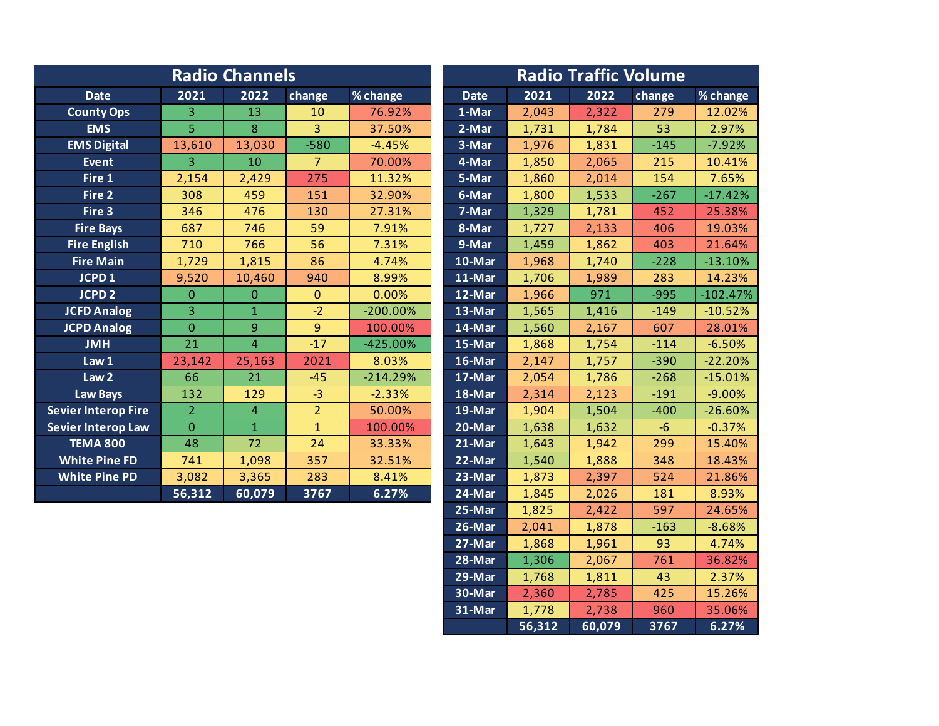|                            |                | <b>Radio Channels</b> |                |             | <b>Radio Traffic Volume</b> |                               |               |              |                                               |  |  |
|----------------------------|----------------|-----------------------|----------------|-------------|-----------------------------|-------------------------------|---------------|--------------|-----------------------------------------------|--|--|
| <b>Date</b>                | 2021           | 2022                  | change         | % change    | <b>Date</b>                 | 2021                          | 2022          | change       | % change                                      |  |  |
| <b>County Ops</b>          | 3              | 13                    | 10             | 76.92%      | 1-Mar                       | 2,043                         | 2,322         | 279          | 12.02%                                        |  |  |
| <b>EMS</b>                 | 5              | 8                     | 3              | 37.50%      | 2-Mar                       | 1,731                         | 1,784         | 53           | 2.97%                                         |  |  |
| <b>EMS Digital</b>         | 13,610         | 13,030                | $-580$         | $-4.45%$    | 3-Mar                       | 1,976                         | 1,831         | $-145$       | $-7.92%$                                      |  |  |
| <b>Event</b>               | $\overline{3}$ | 10                    | $\overline{7}$ | 70.00%      | 4-Mar                       | 1,850                         | 2,065         | 215          | 10.41%                                        |  |  |
| Fire 1                     | 2,154          | 2,429                 | 275            | 11.32%      | 5-Mar                       | 1,860                         | 2,014         | 154          | 7.65%                                         |  |  |
| Fire 2                     | 308            | 459                   | 151            | 32.90%      | 6-Mar                       | 1,800                         | 1,533         | $-267$       | $-17.42%$                                     |  |  |
| Fire 3                     | 346            | 476                   | 130            | 27.31%      | 7-Mar                       | 1,329                         | 1,781         | 452          | 25.38%                                        |  |  |
| <b>Fire Bays</b>           | 687            | 746                   | 59             | 7.91%       | 8-Mar                       | 1,727                         | 2,133         | 406          | 19.03%                                        |  |  |
| <b>Fire English</b>        | 710            | 766                   | 56             | 7.31%       | $9$ -Mar                    | 1,459                         | 1,862         | 403          | 21.64%                                        |  |  |
| <b>Fire Main</b>           | 1,729          | 1,815                 | 86             | 4.74%       | 10-Mar                      | 1,968                         | 1,740         | $-228$       | $-13.10%$                                     |  |  |
| JCPD <sub>1</sub>          | 9,520          | 10,460                | 940            | 8.99%       | 11-Mar                      | 1,706                         | 1,989         | 283          | 14.23%                                        |  |  |
| <b>JCPD 2</b>              | $\Omega$       | $\mathbf{0}$          | $\Omega$       | 0.00%       | 12-Mar                      | 1,966                         | 971           | $-995$       | $-102.47%$                                    |  |  |
| <b>JCFD Analog</b>         | $\overline{3}$ | $\mathbf{1}$          | $-2$           | $-200.00\%$ | 13-Mar                      | 1,565                         | 1,416         | $-149$       | $-10.52%$                                     |  |  |
| <b>JCPD Analog</b>         | $\mathbf{0}$   | 9                     | 9              | 100.00%     | 14-Mar                      | 1,560                         | 2,167         | 607          | 28.01%                                        |  |  |
| <b>JMH</b>                 | 21             | $\overline{4}$        | $-17$          | $-425.00%$  | 15-Mar                      | 1,868                         | 1,754         | $-114$       | $-6.50%$                                      |  |  |
| Law 1                      | 23,142         | 25,163                | 2021           | 8.03%       | 16-Mar                      | 2,147                         | 1,757         | $-390$       | $-22.20%$                                     |  |  |
| Law <sub>2</sub>           | 66             | 21                    | $-45$          | $-214.29%$  | 17-Mar                      | 2,054                         | 1,786         | $-268$       | $-15.01%$                                     |  |  |
| <b>Law Bays</b>            | 132            | 129                   | $-3$           | $-2.33%$    | 18-Mar                      | 2,314                         | 2,123         | $-191$       | $-9.00%$                                      |  |  |
| <b>Sevier Interop Fire</b> | $\overline{2}$ | 4                     | $\overline{2}$ | 50.00%      | 19-Mar                      | 1,904                         | 1,504         | $-400$       | $-26.60%$                                     |  |  |
| Sevier Interop Law         | $\overline{0}$ | $\mathbf{1}$          | $\mathbf{1}$   | 100.00%     | 20-Mar                      | 1,638                         | 1,632         | $-6$         | $-0.37%$                                      |  |  |
| <b>TEMA 800</b>            | 48             | 72                    | 24             | 33.33%      | $21-Mar$                    | 1,643                         | 1,942         | 299          | 15.40%                                        |  |  |
| <b>White Pine FD</b>       | 741            | 1,098                 | 357            | 32.51%      | 22-Mar                      | 1,540                         | 1,888         | 348          | 18.43%                                        |  |  |
| <b>White Pine PD</b>       | 3,082          | 3,365                 | 283            | 8.41%       | 23-Mar                      | 1,873                         | 2,397         | 524          | 21.86%                                        |  |  |
|                            | 56,312         | 60,079                | 3767           | 6.27%       | 24-Mar                      | 1,845                         | 2,026         | 181          | 8.93%                                         |  |  |
|                            |                |                       |                |             | 2.5.8.1                     | $\overline{A}$ $\overline{O}$ | $\sim$ $\sim$ | $F \wedge T$ | $\bigcap_{i=1}^n C \subset \bigcap_{i=1}^n C$ |  |  |

| <b>Date</b>           | 2021   | 2022   | change | % change   |
|-----------------------|--------|--------|--------|------------|
| 1-Mar                 | 2,043  | 2,322  | 279    | 12.02%     |
| 2-Mar                 | 1,731  | 1,784  | 53     | 2.97%      |
| 3-Mar                 | 1,976  | 1,831  | $-145$ | $-7.92%$   |
| 4-Mar                 | 1,850  | 2,065  | 215    | 10.41%     |
| 5-Mar                 | 1,860  | 2,014  | 154    | 7.65%      |
| 6-Mar                 | 1,800  | 1,533  | $-267$ | $-17.42%$  |
| $7-Mar$               | 1,329  | 1,781  | 452    | 25.38%     |
| 8-Mar                 | 1,727  | 2,133  | 406    | 19.03%     |
| 9-Mar                 | 1,459  | 1,862  | 403    | 21.64%     |
| 10-Mar                | 1,968  | 1,740  | $-228$ | $-13.10%$  |
| $11-Mar$              | 1,706  | 1,989  | 283    | 14.23%     |
| $12 - \overline{Mar}$ | 1,966  | 971    | $-995$ | $-102.47%$ |
| 13-Mar                | 1,565  | 1,416  | $-149$ | $-10.52%$  |
| 14-Mar                | 1,560  | 2,167  | 607    | 28.01%     |
| $15-Mar$              | 1,868  | 1,754  | $-114$ | $-6.50%$   |
| $16$ -Mar             | 2,147  | 1,757  | $-390$ | $-22.20%$  |
| 17-Mar                | 2,054  | 1,786  | $-268$ | $-15.01%$  |
| $18 - Mar$            | 2,314  | 2,123  | $-191$ | $-9.00%$   |
| $19-Mar$              | 1,904  | 1,504  | $-400$ | $-26.60%$  |
| 20-Mar                | 1,638  | 1,632  | $-6$   | $-0.37%$   |
| 21-Mar                | 1,643  | 1,942  | 299    | 15.40%     |
| 22-Mar                | 1,540  | 1,888  | 348    | 18.43%     |
| 23-Mar                | 1,873  | 2,397  | 524    | 21.86%     |
| $24-Mar$              | 1,845  | 2,026  | 181    | 8.93%      |
| 25-Mar                | 1,825  | 2,422  | 597    | 24.65%     |
| $26$ -Mar             | 2,041  | 1,878  | $-163$ | $-8.68%$   |
| 27-Mar                | 1,868  | 1,961  | 93     | 4.74%      |
| 28-Mar                | 1,306  | 2,067  | 761    | 36.82%     |
| $29-Mar$              | 1,768  | 1,811  | 43     | 2.37%      |
| 30-Mar                | 2,360  | 2,785  | 425    | 15.26%     |
| $31-Mar$              | 1,778  | 2,738  | 960    | 35.06%     |
|                       | 56,312 | 60,079 | 3767   | 6.27%      |